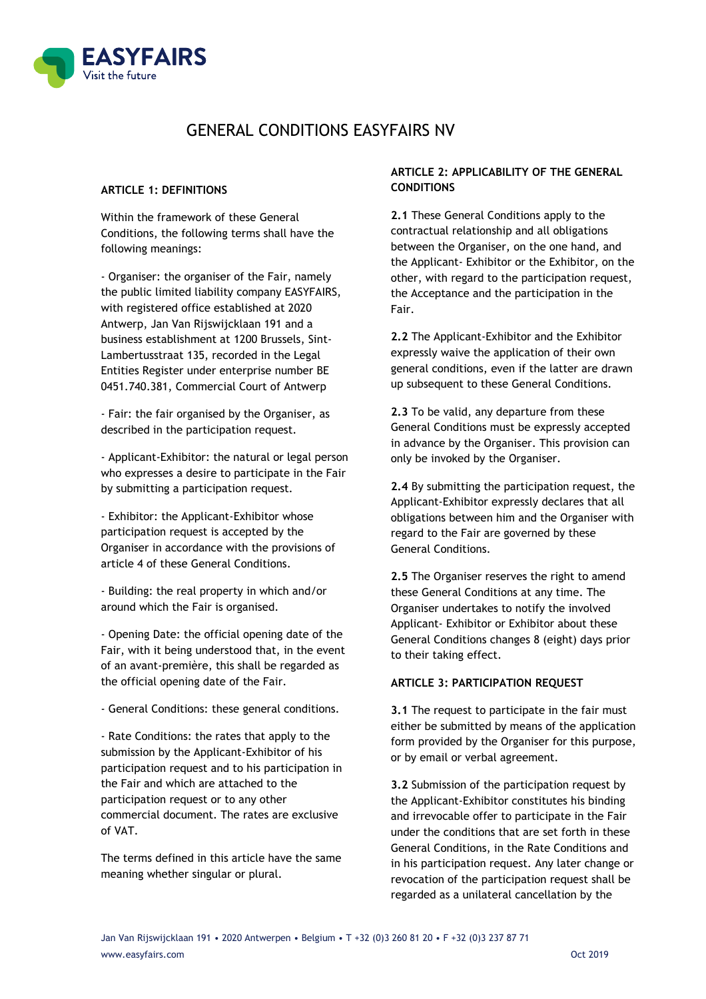

# GENERAL CONDITIONS EASYFAIRS NV

#### **ARTICLE 1: DEFINITIONS**

Within the framework of these General Conditions, the following terms shall have the following meanings:

- Organiser: the organiser of the Fair, namely the public limited liability company EASYFAIRS, with registered office established at 2020 Antwerp, Jan Van Rijswijcklaan 191 and a business establishment at 1200 Brussels, Sint-Lambertusstraat 135, recorded in the Legal Entities Register under enterprise number BE 0451.740.381, Commercial Court of Antwerp

- Fair: the fair organised by the Organiser, as described in the participation request.

- Applicant-Exhibitor: the natural or legal person who expresses a desire to participate in the Fair by submitting a participation request.

- Exhibitor: the Applicant-Exhibitor whose participation request is accepted by the Organiser in accordance with the provisions of article 4 of these General Conditions.

- Building: the real property in which and/or around which the Fair is organised.

- Opening Date: the official opening date of the Fair, with it being understood that, in the event of an avant-première, this shall be regarded as the official opening date of the Fair.

- General Conditions: these general conditions.

- Rate Conditions: the rates that apply to the submission by the Applicant-Exhibitor of his participation request and to his participation in the Fair and which are attached to the participation request or to any other commercial document. The rates are exclusive of VAT.

The terms defined in this article have the same meaning whether singular or plural.

# **ARTICLE 2: APPLICABILITY OF THE GENERAL CONDITIONS**

**2.1** These General Conditions apply to the contractual relationship and all obligations between the Organiser, on the one hand, and the Applicant- Exhibitor or the Exhibitor, on the other, with regard to the participation request, the Acceptance and the participation in the Fair.

**2.2** The Applicant-Exhibitor and the Exhibitor expressly waive the application of their own general conditions, even if the latter are drawn up subsequent to these General Conditions.

**2.3** To be valid, any departure from these General Conditions must be expressly accepted in advance by the Organiser. This provision can only be invoked by the Organiser.

**2.4** By submitting the participation request, the Applicant-Exhibitor expressly declares that all obligations between him and the Organiser with regard to the Fair are governed by these General Conditions.

**2.5** The Organiser reserves the right to amend these General Conditions at any time. The Organiser undertakes to notify the involved Applicant- Exhibitor or Exhibitor about these General Conditions changes 8 (eight) days prior to their taking effect.

# **ARTICLE 3: PARTICIPATION REQUEST**

**3.1** The request to participate in the fair must either be submitted by means of the application form provided by the Organiser for this purpose, or by email or verbal agreement.

**3.2** Submission of the participation request by the Applicant-Exhibitor constitutes his binding and irrevocable offer to participate in the Fair under the conditions that are set forth in these General Conditions, in the Rate Conditions and in his participation request. Any later change or revocation of the participation request shall be regarded as a unilateral cancellation by the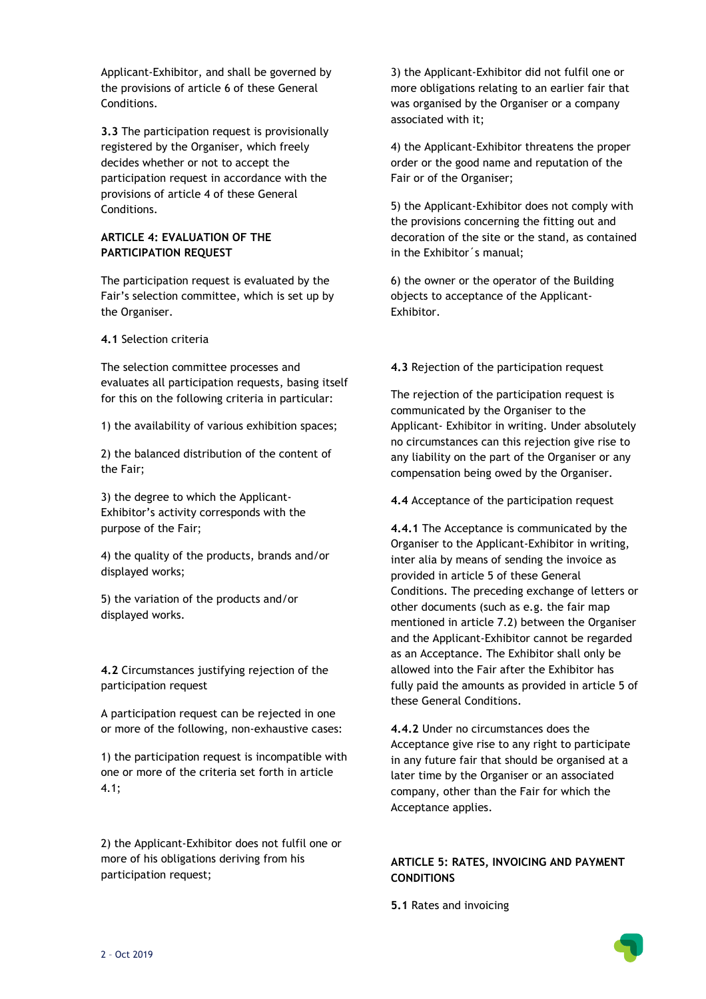Applicant-Exhibitor, and shall be governed by the provisions of article 6 of these General Conditions.

**3.3** The participation request is provisionally registered by the Organiser, which freely decides whether or not to accept the participation request in accordance with the provisions of article 4 of these General Conditions.

# **ARTICLE 4: EVALUATION OF THE PARTICIPATION REQUEST**

The participation request is evaluated by the Fair's selection committee, which is set up by the Organiser.

**4.1** Selection criteria

The selection committee processes and evaluates all participation requests, basing itself for this on the following criteria in particular:

1) the availability of various exhibition spaces;

2) the balanced distribution of the content of the Fair;

3) the degree to which the Applicant-Exhibitor's activity corresponds with the purpose of the Fair;

4) the quality of the products, brands and/or displayed works;

5) the variation of the products and/or displayed works.

**4.2** Circumstances justifying rejection of the participation request

A participation request can be rejected in one or more of the following, non-exhaustive cases:

1) the participation request is incompatible with one or more of the criteria set forth in article 4.1;

2) the Applicant-Exhibitor does not fulfil one or more of his obligations deriving from his participation request;

3) the Applicant-Exhibitor did not fulfil one or more obligations relating to an earlier fair that was organised by the Organiser or a company associated with it;

4) the Applicant-Exhibitor threatens the proper order or the good name and reputation of the Fair or of the Organiser;

5) the Applicant-Exhibitor does not comply with the provisions concerning the fitting out and decoration of the site or the stand, as contained in the Exhibitor´s manual;

6) the owner or the operator of the Building objects to acceptance of the Applicant-Exhibitor.

**4.3** Rejection of the participation request

The rejection of the participation request is communicated by the Organiser to the Applicant- Exhibitor in writing. Under absolutely no circumstances can this rejection give rise to any liability on the part of the Organiser or any compensation being owed by the Organiser.

**4.4** Acceptance of the participation request

**4.4.1** The Acceptance is communicated by the Organiser to the Applicant-Exhibitor in writing, inter alia by means of sending the invoice as provided in article 5 of these General Conditions. The preceding exchange of letters or other documents (such as e.g. the fair map mentioned in article 7.2) between the Organiser and the Applicant-Exhibitor cannot be regarded as an Acceptance. The Exhibitor shall only be allowed into the Fair after the Exhibitor has fully paid the amounts as provided in article 5 of these General Conditions.

**4.4.2** Under no circumstances does the Acceptance give rise to any right to participate in any future fair that should be organised at a later time by the Organiser or an associated company, other than the Fair for which the Acceptance applies.

# **ARTICLE 5: RATES, INVOICING AND PAYMENT CONDITIONS**

**5.1** Rates and invoicing

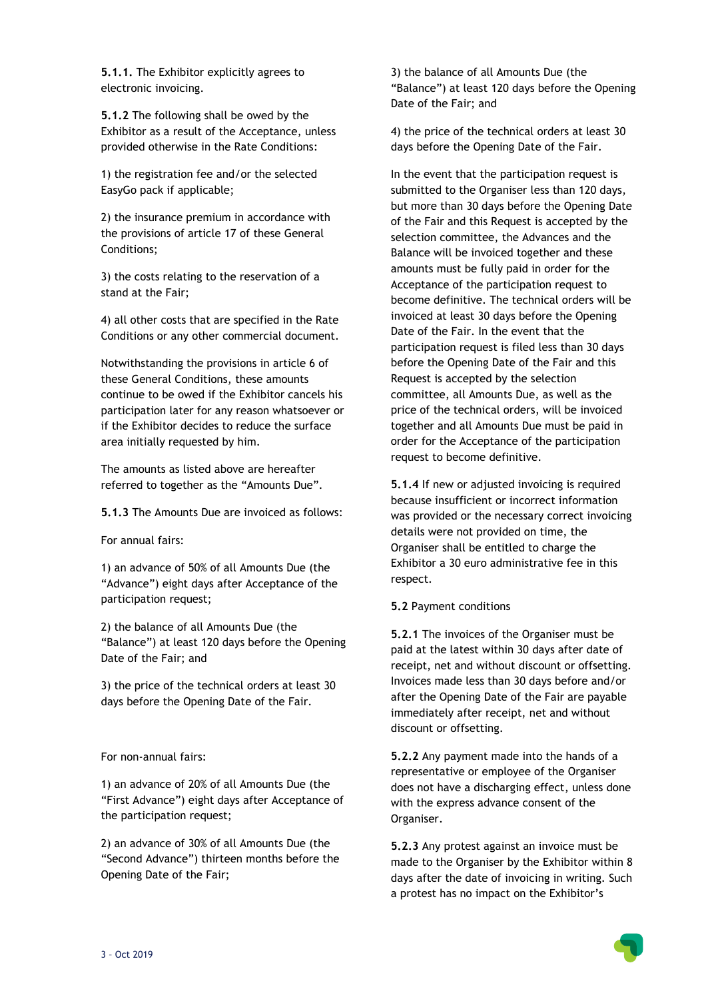**5.1.1.** The Exhibitor explicitly agrees to electronic invoicing.

**5.1.2** The following shall be owed by the Exhibitor as a result of the Acceptance, unless provided otherwise in the Rate Conditions:

1) the registration fee and/or the selected EasyGo pack if applicable;

2) the insurance premium in accordance with the provisions of article 17 of these General Conditions;

3) the costs relating to the reservation of a stand at the Fair;

4) all other costs that are specified in the Rate Conditions or any other commercial document.

Notwithstanding the provisions in article 6 of these General Conditions, these amounts continue to be owed if the Exhibitor cancels his participation later for any reason whatsoever or if the Exhibitor decides to reduce the surface area initially requested by him.

The amounts as listed above are hereafter referred to together as the "Amounts Due".

**5.1.3** The Amounts Due are invoiced as follows:

For annual fairs:

1) an advance of 50% of all Amounts Due (the "Advance") eight days after Acceptance of the participation request;

2) the balance of all Amounts Due (the "Balance") at least 120 days before the Opening Date of the Fair; and

3) the price of the technical orders at least 30 days before the Opening Date of the Fair.

For non-annual fairs:

1) an advance of 20% of all Amounts Due (the "First Advance") eight days after Acceptance of the participation request;

2) an advance of 30% of all Amounts Due (the "Second Advance") thirteen months before the Opening Date of the Fair;

3) the balance of all Amounts Due (the "Balance") at least 120 days before the Opening Date of the Fair; and

4) the price of the technical orders at least 30 days before the Opening Date of the Fair.

In the event that the participation request is submitted to the Organiser less than 120 days, but more than 30 days before the Opening Date of the Fair and this Request is accepted by the selection committee, the Advances and the Balance will be invoiced together and these amounts must be fully paid in order for the Acceptance of the participation request to become definitive. The technical orders will be invoiced at least 30 days before the Opening Date of the Fair. In the event that the participation request is filed less than 30 days before the Opening Date of the Fair and this Request is accepted by the selection committee, all Amounts Due, as well as the price of the technical orders, will be invoiced together and all Amounts Due must be paid in order for the Acceptance of the participation request to become definitive.

**5.1.4** If new or adjusted invoicing is required because insufficient or incorrect information was provided or the necessary correct invoicing details were not provided on time, the Organiser shall be entitled to charge the Exhibitor a 30 euro administrative fee in this respect.

# **5.2** Payment conditions

**5.2.1** The invoices of the Organiser must be paid at the latest within 30 days after date of receipt, net and without discount or offsetting. Invoices made less than 30 days before and/or after the Opening Date of the Fair are payable immediately after receipt, net and without discount or offsetting.

**5.2.2** Any payment made into the hands of a representative or employee of the Organiser does not have a discharging effect, unless done with the express advance consent of the Organiser.

**5.2.3** Any protest against an invoice must be made to the Organiser by the Exhibitor within 8 days after the date of invoicing in writing. Such a protest has no impact on the Exhibitor's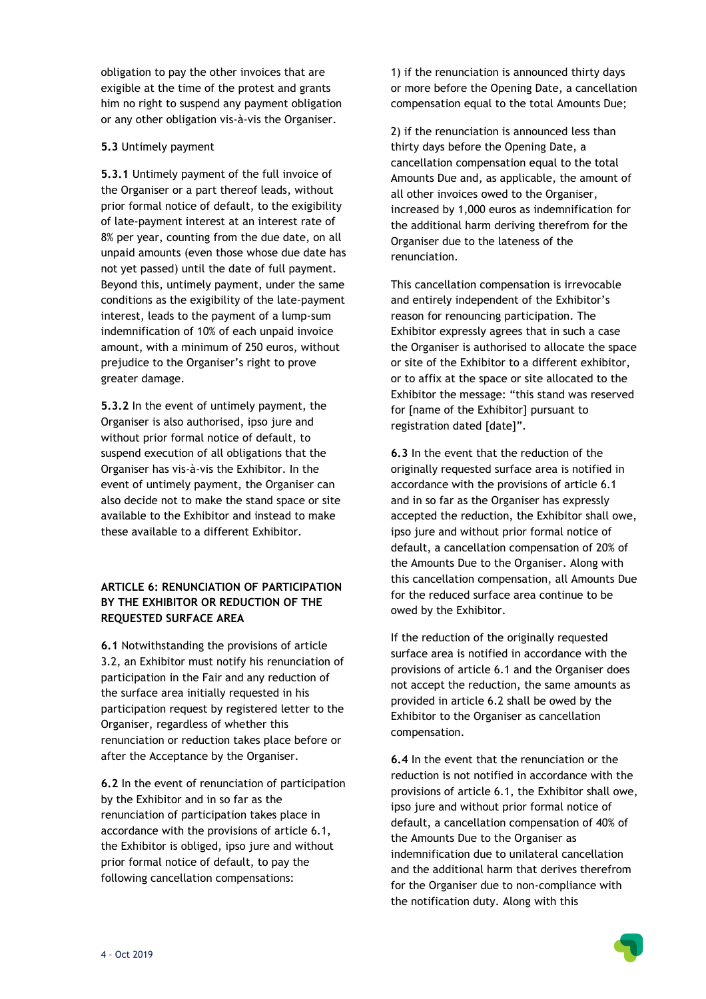obligation to pay the other invoices that are exigible at the time of the protest and grants him no right to suspend any payment obligation or any other obligation vis-à-vis the Organiser.

# **5.3** Untimely payment

**5.3.1** Untimely payment of the full invoice of the Organiser or a part thereof leads, without prior formal notice of default, to the exigibility of late-payment interest at an interest rate of 8% per year, counting from the due date, on all unpaid amounts (even those whose due date has not yet passed) until the date of full payment. Beyond this, untimely payment, under the same conditions as the exigibility of the late-payment interest, leads to the payment of a lump-sum indemnification of 10% of each unpaid invoice amount, with a minimum of 250 euros, without prejudice to the Organiser's right to prove greater damage.

**5.3.2** In the event of untimely payment, the Organiser is also authorised, ipso jure and without prior formal notice of default, to suspend execution of all obligations that the Organiser has vis-à-vis the Exhibitor. In the event of untimely payment, the Organiser can also decide not to make the stand space or site available to the Exhibitor and instead to make these available to a different Exhibitor.

# **ARTICLE 6: RENUNCIATION OF PARTICIPATION BY THE EXHIBITOR OR REDUCTION OF THE REQUESTED SURFACE AREA**

**6.1** Notwithstanding the provisions of article 3.2, an Exhibitor must notify his renunciation of participation in the Fair and any reduction of the surface area initially requested in his participation request by registered letter to the Organiser, regardless of whether this renunciation or reduction takes place before or after the Acceptance by the Organiser.

**6.2** In the event of renunciation of participation by the Exhibitor and in so far as the renunciation of participation takes place in accordance with the provisions of article 6.1, the Exhibitor is obliged, ipso jure and without prior formal notice of default, to pay the following cancellation compensations:

1) if the renunciation is announced thirty days or more before the Opening Date, a cancellation compensation equal to the total Amounts Due;

2) if the renunciation is announced less than thirty days before the Opening Date, a cancellation compensation equal to the total Amounts Due and, as applicable, the amount of all other invoices owed to the Organiser, increased by 1,000 euros as indemnification for the additional harm deriving therefrom for the Organiser due to the lateness of the renunciation.

This cancellation compensation is irrevocable and entirely independent of the Exhibitor's reason for renouncing participation. The Exhibitor expressly agrees that in such a case the Organiser is authorised to allocate the space or site of the Exhibitor to a different exhibitor, or to affix at the space or site allocated to the Exhibitor the message: "this stand was reserved for [name of the Exhibitor] pursuant to registration dated [date]".

**6.3** In the event that the reduction of the originally requested surface area is notified in accordance with the provisions of article 6.1 and in so far as the Organiser has expressly accepted the reduction, the Exhibitor shall owe, ipso jure and without prior formal notice of default, a cancellation compensation of 20% of the Amounts Due to the Organiser. Along with this cancellation compensation, all Amounts Due for the reduced surface area continue to be owed by the Exhibitor.

If the reduction of the originally requested surface area is notified in accordance with the provisions of article 6.1 and the Organiser does not accept the reduction, the same amounts as provided in article 6.2 shall be owed by the Exhibitor to the Organiser as cancellation compensation.

**6.4** In the event that the renunciation or the reduction is not notified in accordance with the provisions of article 6.1, the Exhibitor shall owe, ipso jure and without prior formal notice of default, a cancellation compensation of 40% of the Amounts Due to the Organiser as indemnification due to unilateral cancellation and the additional harm that derives therefrom for the Organiser due to non-compliance with the notification duty. Along with this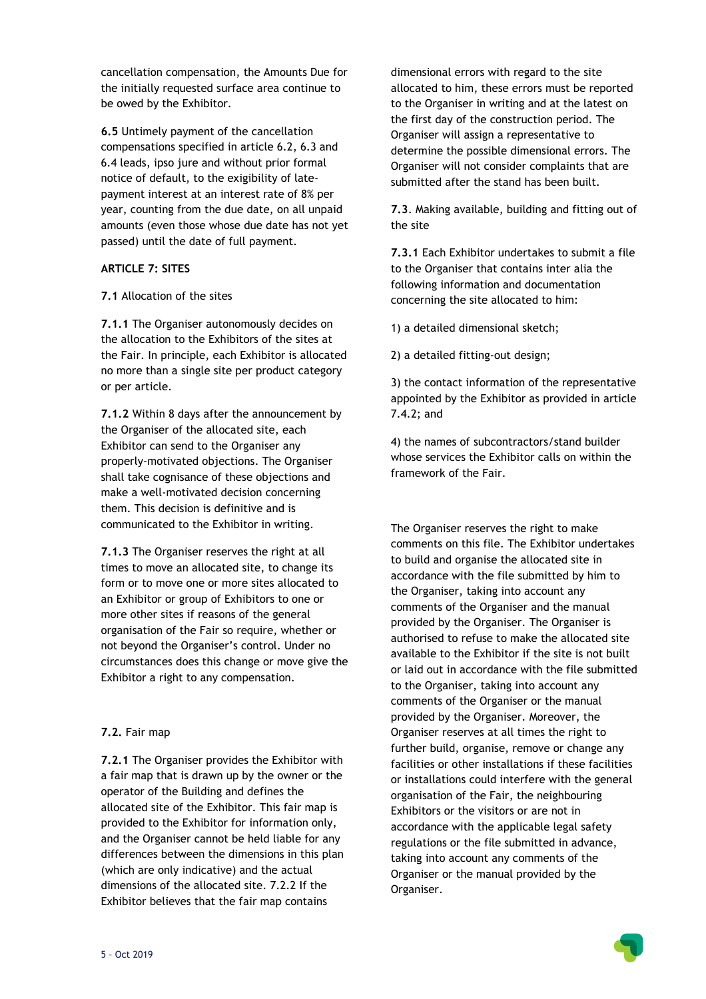cancellation compensation, the Amounts Due for the initially requested surface area continue to be owed by the Exhibitor.

**6.5** Untimely payment of the cancellation compensations specified in article 6.2, 6.3 and 6.4 leads, ipso jure and without prior formal notice of default, to the exigibility of latepayment interest at an interest rate of 8% per year, counting from the due date, on all unpaid amounts (even those whose due date has not yet passed) until the date of full payment.

# **ARTICLE 7: SITES**

**7.1** Allocation of the sites

**7.1.1** The Organiser autonomously decides on the allocation to the Exhibitors of the sites at the Fair. In principle, each Exhibitor is allocated no more than a single site per product category or per article.

**7.1.2** Within 8 days after the announcement by the Organiser of the allocated site, each Exhibitor can send to the Organiser any properly-motivated objections. The Organiser shall take cognisance of these objections and make a well-motivated decision concerning them. This decision is definitive and is communicated to the Exhibitor in writing.

**7.1.3** The Organiser reserves the right at all times to move an allocated site, to change its form or to move one or more sites allocated to an Exhibitor or group of Exhibitors to one or more other sites if reasons of the general organisation of the Fair so require, whether or not beyond the Organiser's control. Under no circumstances does this change or move give the Exhibitor a right to any compensation.

# **7.2.** Fair map

**7.2.1** The Organiser provides the Exhibitor with a fair map that is drawn up by the owner or the operator of the Building and defines the allocated site of the Exhibitor. This fair map is provided to the Exhibitor for information only, and the Organiser cannot be held liable for any differences between the dimensions in this plan (which are only indicative) and the actual dimensions of the allocated site. 7.2.2 If the Exhibitor believes that the fair map contains

dimensional errors with regard to the site allocated to him, these errors must be reported to the Organiser in writing and at the latest on the first day of the construction period. The Organiser will assign a representative to determine the possible dimensional errors. The Organiser will not consider complaints that are submitted after the stand has been built.

**7.3**. Making available, building and fitting out of the site

**7.3.1** Each Exhibitor undertakes to submit a file to the Organiser that contains inter alia the following information and documentation concerning the site allocated to him:

1) a detailed dimensional sketch;

2) a detailed fitting-out design;

3) the contact information of the representative appointed by the Exhibitor as provided in article 7.4.2; and

4) the names of subcontractors/stand builder whose services the Exhibitor calls on within the framework of the Fair.

The Organiser reserves the right to make comments on this file. The Exhibitor undertakes to build and organise the allocated site in accordance with the file submitted by him to the Organiser, taking into account any comments of the Organiser and the manual provided by the Organiser. The Organiser is authorised to refuse to make the allocated site available to the Exhibitor if the site is not built or laid out in accordance with the file submitted to the Organiser, taking into account any comments of the Organiser or the manual provided by the Organiser. Moreover, the Organiser reserves at all times the right to further build, organise, remove or change any facilities or other installations if these facilities or installations could interfere with the general organisation of the Fair, the neighbouring Exhibitors or the visitors or are not in accordance with the applicable legal safety regulations or the file submitted in advance, taking into account any comments of the Organiser or the manual provided by the Organiser.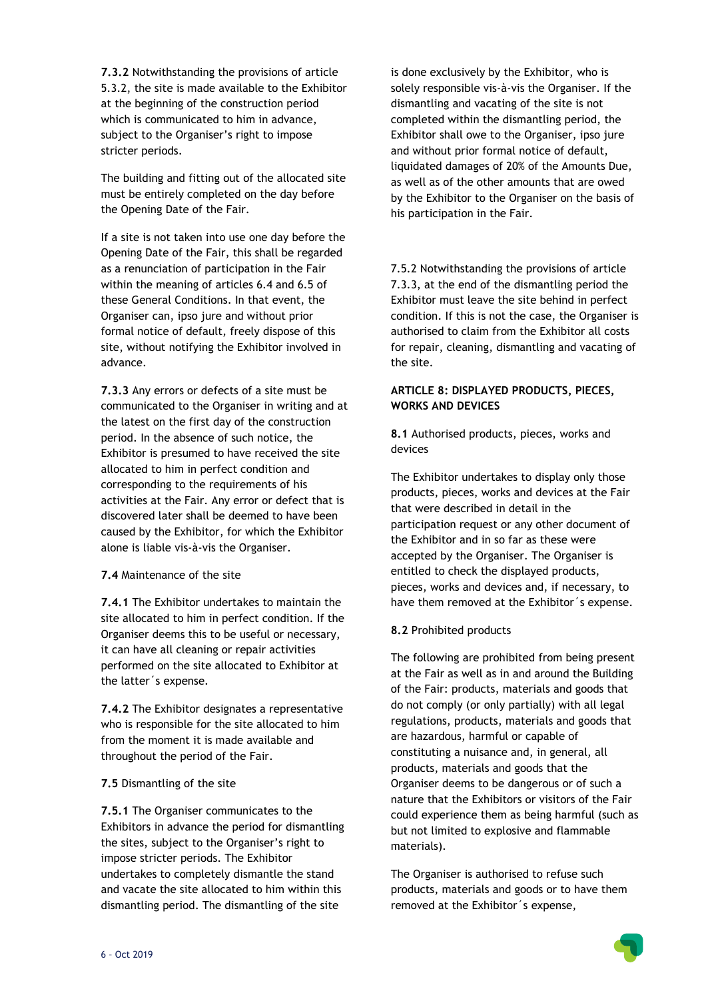**7.3.2** Notwithstanding the provisions of article 5.3.2, the site is made available to the Exhibitor at the beginning of the construction period which is communicated to him in advance, subject to the Organiser's right to impose stricter periods.

The building and fitting out of the allocated site must be entirely completed on the day before the Opening Date of the Fair.

If a site is not taken into use one day before the Opening Date of the Fair, this shall be regarded as a renunciation of participation in the Fair within the meaning of articles 6.4 and 6.5 of these General Conditions. In that event, the Organiser can, ipso jure and without prior formal notice of default, freely dispose of this site, without notifying the Exhibitor involved in advance.

**7.3.3** Any errors or defects of a site must be communicated to the Organiser in writing and at the latest on the first day of the construction period. In the absence of such notice, the Exhibitor is presumed to have received the site allocated to him in perfect condition and corresponding to the requirements of his activities at the Fair. Any error or defect that is discovered later shall be deemed to have been caused by the Exhibitor, for which the Exhibitor alone is liable vis-à-vis the Organiser.

#### **7.4** Maintenance of the site

**7.4.1** The Exhibitor undertakes to maintain the site allocated to him in perfect condition. If the Organiser deems this to be useful or necessary, it can have all cleaning or repair activities performed on the site allocated to Exhibitor at the latter´s expense.

**7.4.2** The Exhibitor designates a representative who is responsible for the site allocated to him from the moment it is made available and throughout the period of the Fair.

# **7.5** Dismantling of the site

**7.5.1** The Organiser communicates to the Exhibitors in advance the period for dismantling the sites, subject to the Organiser's right to impose stricter periods. The Exhibitor undertakes to completely dismantle the stand and vacate the site allocated to him within this dismantling period. The dismantling of the site

is done exclusively by the Exhibitor, who is solely responsible vis-à-vis the Organiser. If the dismantling and vacating of the site is not completed within the dismantling period, the Exhibitor shall owe to the Organiser, ipso jure and without prior formal notice of default, liquidated damages of 20% of the Amounts Due, as well as of the other amounts that are owed by the Exhibitor to the Organiser on the basis of his participation in the Fair.

7.5.2 Notwithstanding the provisions of article 7.3.3, at the end of the dismantling period the Exhibitor must leave the site behind in perfect condition. If this is not the case, the Organiser is authorised to claim from the Exhibitor all costs for repair, cleaning, dismantling and vacating of the site.

# **ARTICLE 8: DISPLAYED PRODUCTS, PIECES, WORKS AND DEVICES**

**8.1** Authorised products, pieces, works and devices

The Exhibitor undertakes to display only those products, pieces, works and devices at the Fair that were described in detail in the participation request or any other document of the Exhibitor and in so far as these were accepted by the Organiser. The Organiser is entitled to check the displayed products, pieces, works and devices and, if necessary, to have them removed at the Exhibitor´s expense.

# **8.2** Prohibited products

The following are prohibited from being present at the Fair as well as in and around the Building of the Fair: products, materials and goods that do not comply (or only partially) with all legal regulations, products, materials and goods that are hazardous, harmful or capable of constituting a nuisance and, in general, all products, materials and goods that the Organiser deems to be dangerous or of such a nature that the Exhibitors or visitors of the Fair could experience them as being harmful (such as but not limited to explosive and flammable materials).

The Organiser is authorised to refuse such products, materials and goods or to have them removed at the Exhibitor´s expense,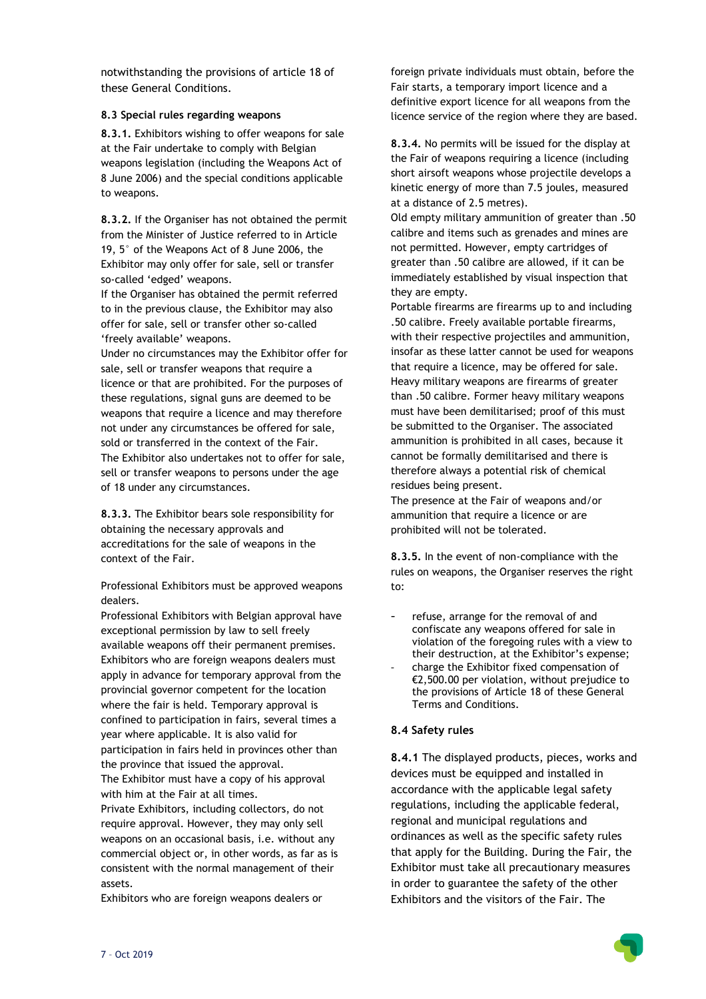notwithstanding the provisions of article 18 of these General Conditions.

### **8.3 Special rules regarding weapons**

**8.3.1.** Exhibitors wishing to offer weapons for sale at the Fair undertake to comply with Belgian weapons legislation (including the Weapons Act of 8 June 2006) and the special conditions applicable to weapons.

**8.3.2.** If the Organiser has not obtained the permit from the Minister of Justice referred to in Article 19, 5° of the Weapons Act of 8 June 2006, the Exhibitor may only offer for sale, sell or transfer so-called 'edged' weapons.

If the Organiser has obtained the permit referred to in the previous clause, the Exhibitor may also offer for sale, sell or transfer other so-called 'freely available' weapons.

Under no circumstances may the Exhibitor offer for sale, sell or transfer weapons that require a licence or that are prohibited. For the purposes of these regulations, signal guns are deemed to be weapons that require a licence and may therefore not under any circumstances be offered for sale, sold or transferred in the context of the Fair. The Exhibitor also undertakes not to offer for sale, sell or transfer weapons to persons under the age of 18 under any circumstances.

**8.3.3.** The Exhibitor bears sole responsibility for obtaining the necessary approvals and accreditations for the sale of weapons in the context of the Fair.

Professional Exhibitors must be approved weapons dealers.

Professional Exhibitors with Belgian approval have exceptional permission by law to sell freely available weapons off their permanent premises. Exhibitors who are foreign weapons dealers must apply in advance for temporary approval from the provincial governor competent for the location where the fair is held. Temporary approval is confined to participation in fairs, several times a year where applicable. It is also valid for participation in fairs held in provinces other than the province that issued the approval. The Exhibitor must have a copy of his approval

with him at the Fair at all times.

Private Exhibitors, including collectors, do not require approval. However, they may only sell weapons on an occasional basis, i.e. without any commercial object or, in other words, as far as is consistent with the normal management of their assets.

Exhibitors who are foreign weapons dealers or

foreign private individuals must obtain, before the Fair starts, a temporary import licence and a definitive export licence for all weapons from the licence service of the region where they are based.

**8.3.4.** No permits will be issued for the display at the Fair of weapons requiring a licence (including short airsoft weapons whose projectile develops a kinetic energy of more than 7.5 joules, measured at a distance of 2.5 metres).

Old empty military ammunition of greater than .50 calibre and items such as grenades and mines are not permitted. However, empty cartridges of greater than .50 calibre are allowed, if it can be immediately established by visual inspection that they are empty.

Portable firearms are firearms up to and including .50 calibre. Freely available portable firearms, with their respective projectiles and ammunition, insofar as these latter cannot be used for weapons that require a licence, may be offered for sale. Heavy military weapons are firearms of greater than .50 calibre. Former heavy military weapons must have been demilitarised; proof of this must be submitted to the Organiser. The associated ammunition is prohibited in all cases, because it cannot be formally demilitarised and there is therefore always a potential risk of chemical residues being present.

The presence at the Fair of weapons and/or ammunition that require a licence or are prohibited will not be tolerated.

**8.3.5.** In the event of non-compliance with the rules on weapons, the Organiser reserves the right to:

- refuse, arrange for the removal of and confiscate any weapons offered for sale in violation of the foregoing rules with a view to their destruction, at the Exhibitor's expense;
- charge the Exhibitor fixed compensation of €2,500.00 per violation, without prejudice to the provisions of Article 18 of these General Terms and Conditions.

# **8.4 Safety rules**

**8.4.1** The displayed products, pieces, works and devices must be equipped and installed in accordance with the applicable legal safety regulations, including the applicable federal, regional and municipal regulations and ordinances as well as the specific safety rules that apply for the Building. During the Fair, the Exhibitor must take all precautionary measures in order to guarantee the safety of the other Exhibitors and the visitors of the Fair. The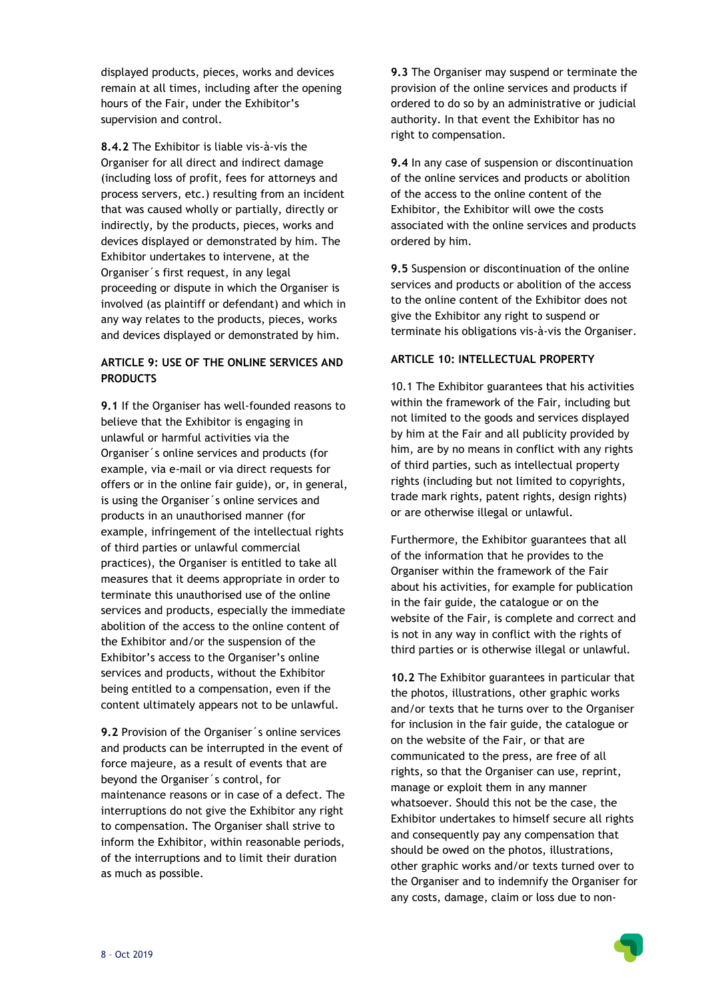displayed products, pieces, works and devices remain at all times, including after the opening hours of the Fair, under the Exhibitor's supervision and control.

**8.4.2** The Exhibitor is liable vis-à-vis the Organiser for all direct and indirect damage (including loss of profit, fees for attorneys and process servers, etc.) resulting from an incident that was caused wholly or partially, directly or indirectly, by the products, pieces, works and devices displayed or demonstrated by him. The Exhibitor undertakes to intervene, at the Organiser´s first request, in any legal proceeding or dispute in which the Organiser is involved (as plaintiff or defendant) and which in any way relates to the products, pieces, works and devices displayed or demonstrated by him.

# **ARTICLE 9: USE OF THE ONLINE SERVICES AND PRODUCTS**

**9.1** If the Organiser has well-founded reasons to believe that the Exhibitor is engaging in unlawful or harmful activities via the Organiser´s online services and products (for example, via e-mail or via direct requests for offers or in the online fair guide), or, in general, is using the Organiser´s online services and products in an unauthorised manner (for example, infringement of the intellectual rights of third parties or unlawful commercial practices), the Organiser is entitled to take all measures that it deems appropriate in order to terminate this unauthorised use of the online services and products, especially the immediate abolition of the access to the online content of the Exhibitor and/or the suspension of the Exhibitor's access to the Organiser's online services and products, without the Exhibitor being entitled to a compensation, even if the content ultimately appears not to be unlawful.

**9.2** Provision of the Organiser´s online services and products can be interrupted in the event of force majeure, as a result of events that are beyond the Organiser´s control, for maintenance reasons or in case of a defect. The interruptions do not give the Exhibitor any right to compensation. The Organiser shall strive to inform the Exhibitor, within reasonable periods, of the interruptions and to limit their duration as much as possible.

**9.3** The Organiser may suspend or terminate the provision of the online services and products if ordered to do so by an administrative or judicial authority. In that event the Exhibitor has no right to compensation.

**9.4** In any case of suspension or discontinuation of the online services and products or abolition of the access to the online content of the Exhibitor, the Exhibitor will owe the costs associated with the online services and products ordered by him.

**9.5** Suspension or discontinuation of the online services and products or abolition of the access to the online content of the Exhibitor does not give the Exhibitor any right to suspend or terminate his obligations vis-à-vis the Organiser.

### **ARTICLE 10: INTELLECTUAL PROPERTY**

10.1 The Exhibitor guarantees that his activities within the framework of the Fair, including but not limited to the goods and services displayed by him at the Fair and all publicity provided by him, are by no means in conflict with any rights of third parties, such as intellectual property rights (including but not limited to copyrights, trade mark rights, patent rights, design rights) or are otherwise illegal or unlawful.

Furthermore, the Exhibitor guarantees that all of the information that he provides to the Organiser within the framework of the Fair about his activities, for example for publication in the fair guide, the catalogue or on the website of the Fair, is complete and correct and is not in any way in conflict with the rights of third parties or is otherwise illegal or unlawful.

**10.2** The Exhibitor guarantees in particular that the photos, illustrations, other graphic works and/or texts that he turns over to the Organiser for inclusion in the fair guide, the catalogue or on the website of the Fair, or that are communicated to the press, are free of all rights, so that the Organiser can use, reprint, manage or exploit them in any manner whatsoever. Should this not be the case, the Exhibitor undertakes to himself secure all rights and consequently pay any compensation that should be owed on the photos, illustrations, other graphic works and/or texts turned over to the Organiser and to indemnify the Organiser for any costs, damage, claim or loss due to non-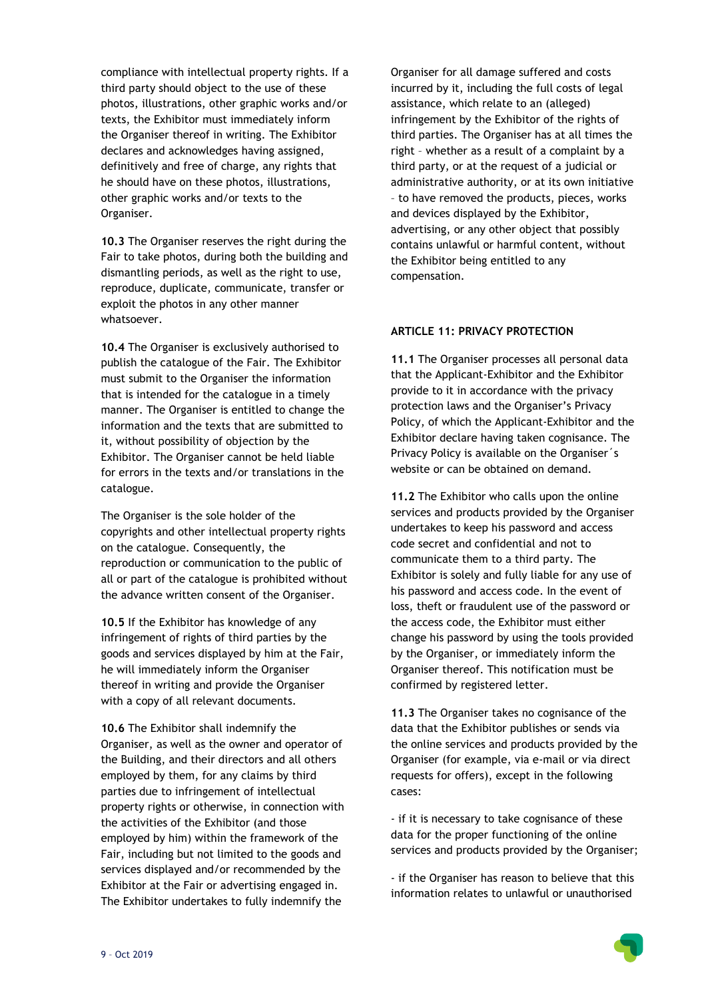compliance with intellectual property rights. If a third party should object to the use of these photos, illustrations, other graphic works and/or texts, the Exhibitor must immediately inform the Organiser thereof in writing. The Exhibitor declares and acknowledges having assigned, definitively and free of charge, any rights that he should have on these photos, illustrations, other graphic works and/or texts to the Organiser.

**10.3** The Organiser reserves the right during the Fair to take photos, during both the building and dismantling periods, as well as the right to use, reproduce, duplicate, communicate, transfer or exploit the photos in any other manner whatsoever.

**10.4** The Organiser is exclusively authorised to publish the catalogue of the Fair. The Exhibitor must submit to the Organiser the information that is intended for the catalogue in a timely manner. The Organiser is entitled to change the information and the texts that are submitted to it, without possibility of objection by the Exhibitor. The Organiser cannot be held liable for errors in the texts and/or translations in the catalogue.

The Organiser is the sole holder of the copyrights and other intellectual property rights on the catalogue. Consequently, the reproduction or communication to the public of all or part of the catalogue is prohibited without the advance written consent of the Organiser.

**10.5** If the Exhibitor has knowledge of any infringement of rights of third parties by the goods and services displayed by him at the Fair, he will immediately inform the Organiser thereof in writing and provide the Organiser with a copy of all relevant documents.

**10.6** The Exhibitor shall indemnify the Organiser, as well as the owner and operator of the Building, and their directors and all others employed by them, for any claims by third parties due to infringement of intellectual property rights or otherwise, in connection with the activities of the Exhibitor (and those employed by him) within the framework of the Fair, including but not limited to the goods and services displayed and/or recommended by the Exhibitor at the Fair or advertising engaged in. The Exhibitor undertakes to fully indemnify the

Organiser for all damage suffered and costs incurred by it, including the full costs of legal assistance, which relate to an (alleged) infringement by the Exhibitor of the rights of third parties. The Organiser has at all times the right – whether as a result of a complaint by a third party, or at the request of a judicial or administrative authority, or at its own initiative – to have removed the products, pieces, works and devices displayed by the Exhibitor, advertising, or any other object that possibly contains unlawful or harmful content, without the Exhibitor being entitled to any compensation.

### **ARTICLE 11: PRIVACY PROTECTION**

**11.1** The Organiser processes all personal data that the Applicant-Exhibitor and the Exhibitor provide to it in accordance with the privacy protection laws and the Organiser's Privacy Policy, of which the Applicant-Exhibitor and the Exhibitor declare having taken cognisance. The Privacy Policy is available on the Organiser´s website or can be obtained on demand.

**11.2** The Exhibitor who calls upon the online services and products provided by the Organiser undertakes to keep his password and access code secret and confidential and not to communicate them to a third party. The Exhibitor is solely and fully liable for any use of his password and access code. In the event of loss, theft or fraudulent use of the password or the access code, the Exhibitor must either change his password by using the tools provided by the Organiser, or immediately inform the Organiser thereof. This notification must be confirmed by registered letter.

**11.3** The Organiser takes no cognisance of the data that the Exhibitor publishes or sends via the online services and products provided by the Organiser (for example, via e-mail or via direct requests for offers), except in the following cases:

- if it is necessary to take cognisance of these data for the proper functioning of the online services and products provided by the Organiser;

- if the Organiser has reason to believe that this information relates to unlawful or unauthorised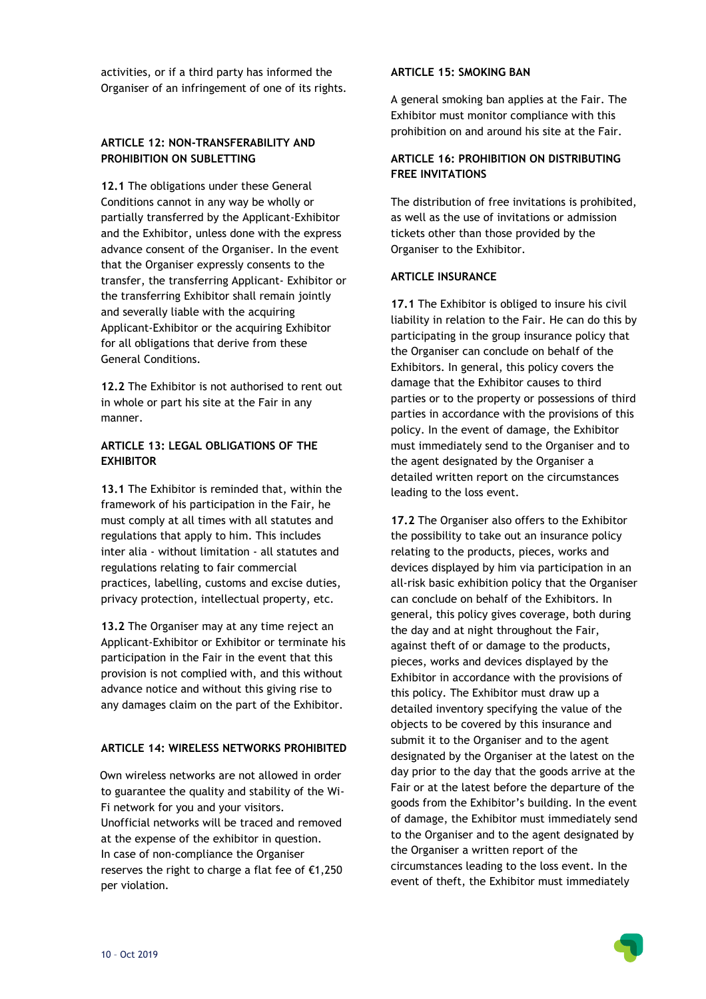activities, or if a third party has informed the Organiser of an infringement of one of its rights.

### **ARTICLE 12: NON-TRANSFERABILITY AND PROHIBITION ON SUBLETTING**

**12.1** The obligations under these General Conditions cannot in any way be wholly or partially transferred by the Applicant-Exhibitor and the Exhibitor, unless done with the express advance consent of the Organiser. In the event that the Organiser expressly consents to the transfer, the transferring Applicant- Exhibitor or the transferring Exhibitor shall remain jointly and severally liable with the acquiring Applicant-Exhibitor or the acquiring Exhibitor for all obligations that derive from these General Conditions.

**12.2** The Exhibitor is not authorised to rent out in whole or part his site at the Fair in any manner.

# **ARTICLE 13: LEGAL OBLIGATIONS OF THE EXHIBITOR**

**13.1** The Exhibitor is reminded that, within the framework of his participation in the Fair, he must comply at all times with all statutes and regulations that apply to him. This includes inter alia - without limitation - all statutes and regulations relating to fair commercial practices, labelling, customs and excise duties, privacy protection, intellectual property, etc.

**13.2** The Organiser may at any time reject an Applicant-Exhibitor or Exhibitor or terminate his participation in the Fair in the event that this provision is not complied with, and this without advance notice and without this giving rise to any damages claim on the part of the Exhibitor.

# **ARTICLE 14: WIRELESS NETWORKS PROHIBITED**

Own wireless networks are not allowed in order to guarantee the quality and stability of the Wi-Fi network for you and your visitors. Unofficial networks will be traced and removed at the expense of the exhibitor in question. In case of non-compliance the Organiser reserves the right to charge a flat fee of €1,250 per violation.

### **ARTICLE 15: SMOKING BAN**

A general smoking ban applies at the Fair. The Exhibitor must monitor compliance with this prohibition on and around his site at the Fair.

# **ARTICLE 16: PROHIBITION ON DISTRIBUTING FREE INVITATIONS**

The distribution of free invitations is prohibited, as well as the use of invitations or admission tickets other than those provided by the Organiser to the Exhibitor.

#### **ARTICLE INSURANCE**

**17.1** The Exhibitor is obliged to insure his civil liability in relation to the Fair. He can do this by participating in the group insurance policy that the Organiser can conclude on behalf of the Exhibitors. In general, this policy covers the damage that the Exhibitor causes to third parties or to the property or possessions of third parties in accordance with the provisions of this policy. In the event of damage, the Exhibitor must immediately send to the Organiser and to the agent designated by the Organiser a detailed written report on the circumstances leading to the loss event.

**17.2** The Organiser also offers to the Exhibitor the possibility to take out an insurance policy relating to the products, pieces, works and devices displayed by him via participation in an all-risk basic exhibition policy that the Organiser can conclude on behalf of the Exhibitors. In general, this policy gives coverage, both during the day and at night throughout the Fair, against theft of or damage to the products, pieces, works and devices displayed by the Exhibitor in accordance with the provisions of this policy. The Exhibitor must draw up a detailed inventory specifying the value of the objects to be covered by this insurance and submit it to the Organiser and to the agent designated by the Organiser at the latest on the day prior to the day that the goods arrive at the Fair or at the latest before the departure of the goods from the Exhibitor's building. In the event of damage, the Exhibitor must immediately send to the Organiser and to the agent designated by the Organiser a written report of the circumstances leading to the loss event. In the event of theft, the Exhibitor must immediately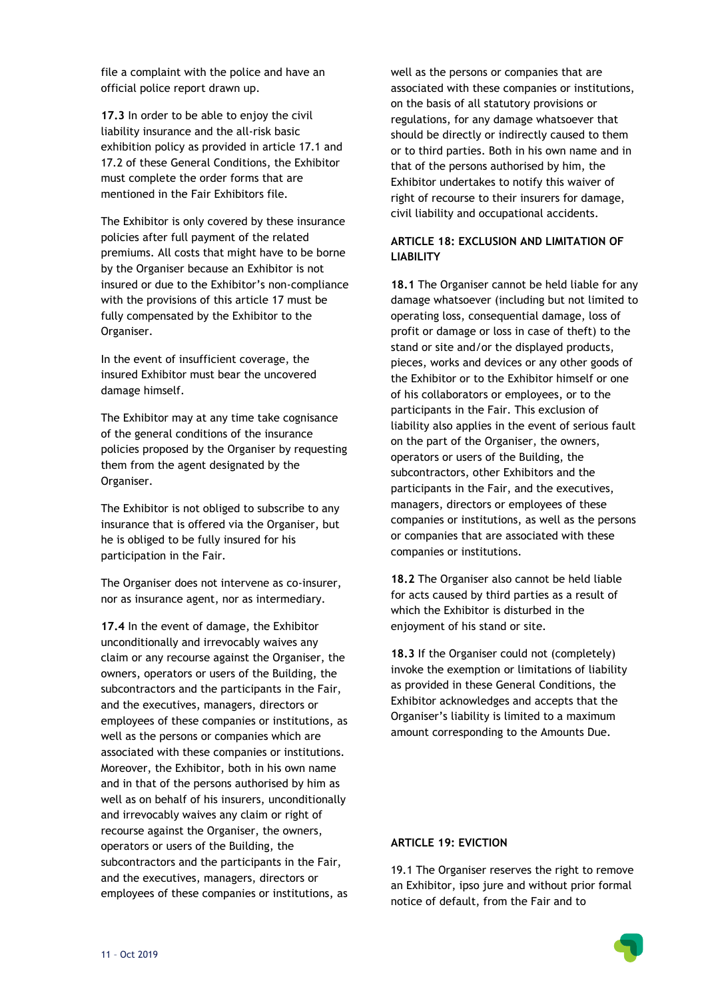file a complaint with the police and have an official police report drawn up.

**17.3** In order to be able to enjoy the civil liability insurance and the all-risk basic exhibition policy as provided in article 17.1 and 17.2 of these General Conditions, the Exhibitor must complete the order forms that are mentioned in the Fair Exhibitors file.

The Exhibitor is only covered by these insurance policies after full payment of the related premiums. All costs that might have to be borne by the Organiser because an Exhibitor is not insured or due to the Exhibitor's non-compliance with the provisions of this article 17 must be fully compensated by the Exhibitor to the Organiser.

In the event of insufficient coverage, the insured Exhibitor must bear the uncovered damage himself.

The Exhibitor may at any time take cognisance of the general conditions of the insurance policies proposed by the Organiser by requesting them from the agent designated by the Organiser.

The Exhibitor is not obliged to subscribe to any insurance that is offered via the Organiser, but he is obliged to be fully insured for his participation in the Fair.

The Organiser does not intervene as co-insurer, nor as insurance agent, nor as intermediary.

**17.4** In the event of damage, the Exhibitor unconditionally and irrevocably waives any claim or any recourse against the Organiser, the owners, operators or users of the Building, the subcontractors and the participants in the Fair, and the executives, managers, directors or employees of these companies or institutions, as well as the persons or companies which are associated with these companies or institutions. Moreover, the Exhibitor, both in his own name and in that of the persons authorised by him as well as on behalf of his insurers, unconditionally and irrevocably waives any claim or right of recourse against the Organiser, the owners, operators or users of the Building, the subcontractors and the participants in the Fair, and the executives, managers, directors or employees of these companies or institutions, as

well as the persons or companies that are associated with these companies or institutions, on the basis of all statutory provisions or regulations, for any damage whatsoever that should be directly or indirectly caused to them or to third parties. Both in his own name and in that of the persons authorised by him, the Exhibitor undertakes to notify this waiver of right of recourse to their insurers for damage, civil liability and occupational accidents.

# **ARTICLE 18: EXCLUSION AND LIMITATION OF LIABILITY**

**18.1** The Organiser cannot be held liable for any damage whatsoever (including but not limited to operating loss, consequential damage, loss of profit or damage or loss in case of theft) to the stand or site and/or the displayed products, pieces, works and devices or any other goods of the Exhibitor or to the Exhibitor himself or one of his collaborators or employees, or to the participants in the Fair. This exclusion of liability also applies in the event of serious fault on the part of the Organiser, the owners, operators or users of the Building, the subcontractors, other Exhibitors and the participants in the Fair, and the executives, managers, directors or employees of these companies or institutions, as well as the persons or companies that are associated with these companies or institutions.

**18.2** The Organiser also cannot be held liable for acts caused by third parties as a result of which the Exhibitor is disturbed in the enjoyment of his stand or site.

**18.3** If the Organiser could not (completely) invoke the exemption or limitations of liability as provided in these General Conditions, the Exhibitor acknowledges and accepts that the Organiser's liability is limited to a maximum amount corresponding to the Amounts Due.

### **ARTICLE 19: EVICTION**

19.1 The Organiser reserves the right to remove an Exhibitor, ipso jure and without prior formal notice of default, from the Fair and to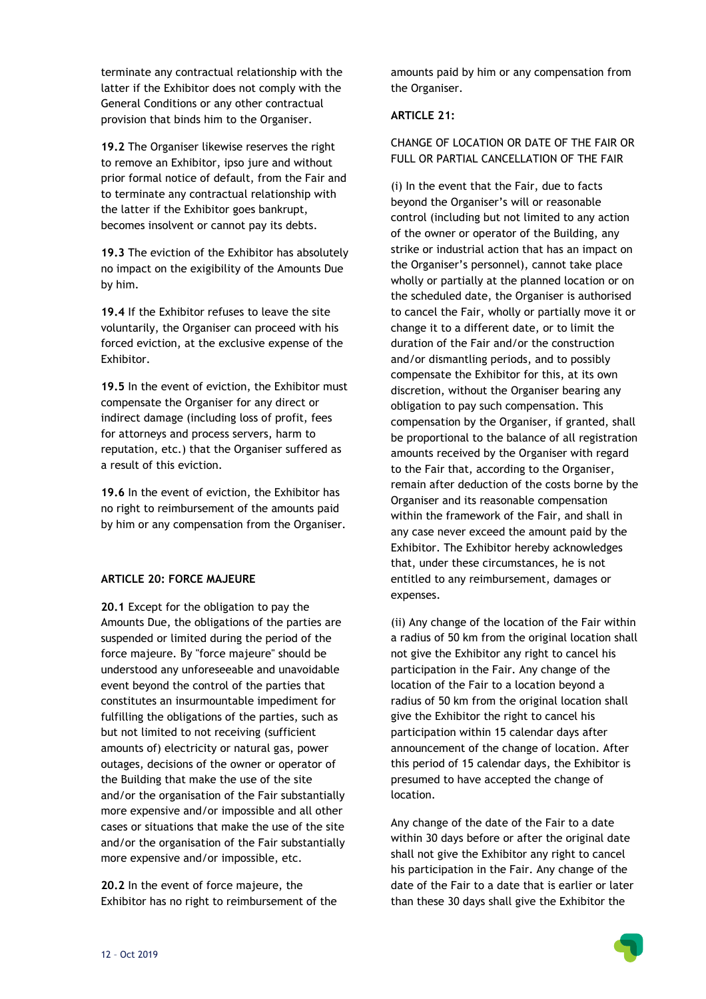terminate any contractual relationship with the latter if the Exhibitor does not comply with the General Conditions or any other contractual provision that binds him to the Organiser.

**19.2** The Organiser likewise reserves the right to remove an Exhibitor, ipso jure and without prior formal notice of default, from the Fair and to terminate any contractual relationship with the latter if the Exhibitor goes bankrupt, becomes insolvent or cannot pay its debts.

**19.3** The eviction of the Exhibitor has absolutely no impact on the exigibility of the Amounts Due by him.

**19.4** If the Exhibitor refuses to leave the site voluntarily, the Organiser can proceed with his forced eviction, at the exclusive expense of the Exhibitor.

**19.5** In the event of eviction, the Exhibitor must compensate the Organiser for any direct or indirect damage (including loss of profit, fees for attorneys and process servers, harm to reputation, etc.) that the Organiser suffered as a result of this eviction.

**19.6** In the event of eviction, the Exhibitor has no right to reimbursement of the amounts paid by him or any compensation from the Organiser.

# **ARTICLE 20: FORCE MAJEURE**

**20.1** Except for the obligation to pay the Amounts Due, the obligations of the parties are suspended or limited during the period of the force majeure. By "force majeure" should be understood any unforeseeable and unavoidable event beyond the control of the parties that constitutes an insurmountable impediment for fulfilling the obligations of the parties, such as but not limited to not receiving (sufficient amounts of) electricity or natural gas, power outages, decisions of the owner or operator of the Building that make the use of the site and/or the organisation of the Fair substantially more expensive and/or impossible and all other cases or situations that make the use of the site and/or the organisation of the Fair substantially more expensive and/or impossible, etc.

**20.2** In the event of force majeure, the Exhibitor has no right to reimbursement of the amounts paid by him or any compensation from the Organiser.

#### **ARTICLE 21:**

CHANGE OF LOCATION OR DATE OF THE FAIR OR FULL OR PARTIAL CANCELLATION OF THE FAIR

(i) In the event that the Fair, due to facts beyond the Organiser's will or reasonable control (including but not limited to any action of the owner or operator of the Building, any strike or industrial action that has an impact on the Organiser's personnel), cannot take place wholly or partially at the planned location or on the scheduled date, the Organiser is authorised to cancel the Fair, wholly or partially move it or change it to a different date, or to limit the duration of the Fair and/or the construction and/or dismantling periods, and to possibly compensate the Exhibitor for this, at its own discretion, without the Organiser bearing any obligation to pay such compensation. This compensation by the Organiser, if granted, shall be proportional to the balance of all registration amounts received by the Organiser with regard to the Fair that, according to the Organiser, remain after deduction of the costs borne by the Organiser and its reasonable compensation within the framework of the Fair, and shall in any case never exceed the amount paid by the Exhibitor. The Exhibitor hereby acknowledges that, under these circumstances, he is not entitled to any reimbursement, damages or expenses.

(ii) Any change of the location of the Fair within a radius of 50 km from the original location shall not give the Exhibitor any right to cancel his participation in the Fair. Any change of the location of the Fair to a location beyond a radius of 50 km from the original location shall give the Exhibitor the right to cancel his participation within 15 calendar days after announcement of the change of location. After this period of 15 calendar days, the Exhibitor is presumed to have accepted the change of location.

Any change of the date of the Fair to a date within 30 days before or after the original date shall not give the Exhibitor any right to cancel his participation in the Fair. Any change of the date of the Fair to a date that is earlier or later than these 30 days shall give the Exhibitor the